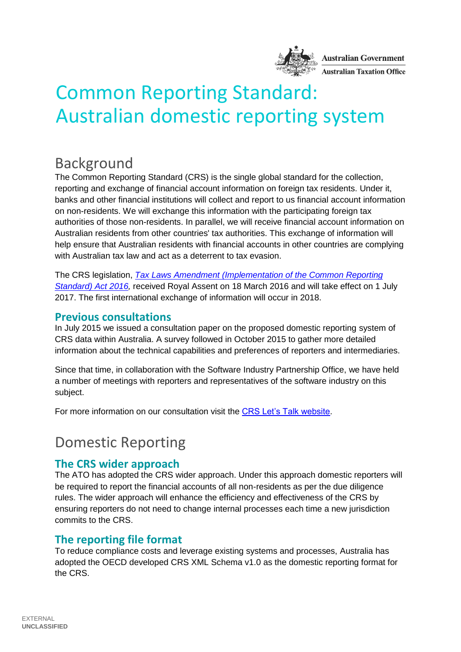

# Common Reporting Standard: Australian domestic reporting system

## Background

The Common Reporting Standard (CRS) is the single global standard for the collection, reporting and exchange of financial account information on foreign tax residents. Under it, banks and other financial institutions will collect and report to us financial account information on non-residents. We will exchange this information with the participating foreign tax authorities of those non-residents. In parallel, we will receive financial account information on Australian residents from other countries' tax authorities. This exchange of information will help ensure that Australian residents with financial accounts in other countries are complying with Australian tax law and act as a deterrent to tax evasion.

The CRS legislation, *[Tax Laws Amendment \(Implementation of the Common Reporting](https://www.legislation.gov.au/Details/C2016A00023)  [Standard\) Act 2016,](https://www.legislation.gov.au/Details/C2016A00023)* received Royal Assent on 18 March 2016 and will take effect on 1 July 2017. The first international exchange of information will occur in 2018.

#### **Previous consultations**

In July 2015 we issued a consultation paper on the proposed domestic reporting system of CRS data within Australia. A survey followed in October 2015 to gather more detailed information about the technical capabilities and preferences of reporters and intermediaries.

Since that time, in collaboration with the Software Industry Partnership Office, we have held a number of meetings with reporters and representatives of the software industry on this subject.

For more information on our consultation visit the [CRS Let's Talk website.](http://lets-talk.ato.gov.au/common-reporting-standard-crs)

### Domestic Reporting

#### **The CRS wider approach**

The ATO has adopted the CRS wider approach. Under this approach domestic reporters will be required to report the financial accounts of all non-residents as per the due diligence rules. The wider approach will enhance the efficiency and effectiveness of the CRS by ensuring reporters do not need to change internal processes each time a new jurisdiction commits to the CRS.

### **The reporting file format**

To reduce compliance costs and leverage existing systems and processes, Australia has adopted the OECD developed CRS XML Schema v1.0 as the domestic reporting format for the CRS.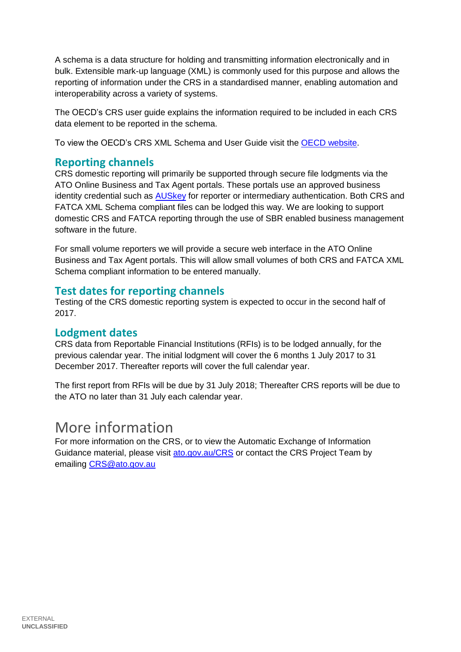A schema is a data structure for holding and transmitting information electronically and in bulk. Extensible mark-up language (XML) is commonly used for this purpose and allows the reporting of information under the CRS in a standardised manner, enabling automation and interoperability across a variety of systems.

The OECD's CRS user guide explains the information required to be included in each CRS data element to be reported in the schema.

To view the OECD's CRS XML Schema and User Guide visit the [OECD website.](http://www.oecd.org/tax/automatic-exchange/common-reporting-standard/schema-and-user-guide/)

#### **Reporting channels**

CRS domestic reporting will primarily be supported through secure file lodgments via the ATO Online Business and Tax Agent portals. These portals use an approved business identity credential such as [AUSkey](https://abr.gov.au/AUSkey/) for reporter or intermediary authentication. Both CRS and FATCA XML Schema compliant files can be lodged this way. We are looking to support domestic CRS and FATCA reporting through the use of SBR enabled business management software in the future.

For small volume reporters we will provide a secure web interface in the ATO Online Business and Tax Agent portals. This will allow small volumes of both CRS and FATCA XML Schema compliant information to be entered manually.

#### **Test dates for reporting channels**

Testing of the CRS domestic reporting system is expected to occur in the second half of 2017.

#### **Lodgment dates**

CRS data from Reportable Financial Institutions (RFIs) is to be lodged annually, for the previous calendar year. The initial lodgment will cover the 6 months 1 July 2017 to 31 December 2017. Thereafter reports will cover the full calendar year.

The first report from RFIs will be due by 31 July 2018; Thereafter CRS reports will be due to the ATO no later than 31 July each calendar year.

### More information

For more information on the CRS, or to view the Automatic Exchange of Information Guidance material, please visit [ato.gov.au/CRS](http://www.ato.gov.au/CRS) or contact the CRS Project Team by emailing [CRS@ato.gov.au](mailto:CRS@ato.gov.au)